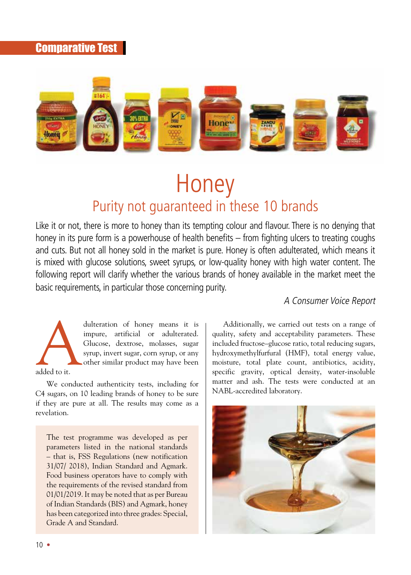# Comparative Test



# **Honey** Purity not guaranteed in these 10 brands

Like it or not, there is more to honey than its tempting colour and flavour. There is no denying that honey in its pure form is a powerhouse of health benefits – from fighting ulcers to treating coughs and cuts. But not all honey sold in the market is pure. Honey is often adulterated, which means it is mixed with glucose solutions, sweet syrups, or low-quality honey with high water content. The following report will clarify whether the various brands of honey available in the market meet the basic requirements, in particular those concerning purity.

#### A Consumer Voice Report



revelation.

dulteration of honey means it is<br>impure, artificial or adulterated.<br>Glucose, dextrose, molasses, sugar<br>syrup, invert sugar, corn syrup, or any<br>other similar product may have been<br>added to it. impure, artificial or adulterated. Glucose, dextrose, molasses, sugar syrup, invert sugar, corn syrup, or any other similar product may have been

We conducted authenticity tests, including for C4 sugars, on 10 leading brands of honey to be sure if they are pure at all. The results may come as a

The test programme was developed as per parameters listed in the national standards – that is, FSS Regulations (new notification 31/07/ 2018), Indian Standard and Agmark. Food business operators have to comply with the requirements of the revised standard from 01/01/2019. It may be noted that as per Bureau of Indian Standards (BIS) and Agmark, honey has been categorized into three grades: Special, Grade A and Standard.

Additionally, we carried out tests on a range of quality, safety and acceptability parameters. These included fructose–glucose ratio, total reducing sugars, hydroxymethylfurfural (HMF), total energy value, moisture, total plate count, antibiotics, acidity, specific gravity, optical density, water-insoluble matter and ash. The tests were conducted at an NABL-accredited laboratory.

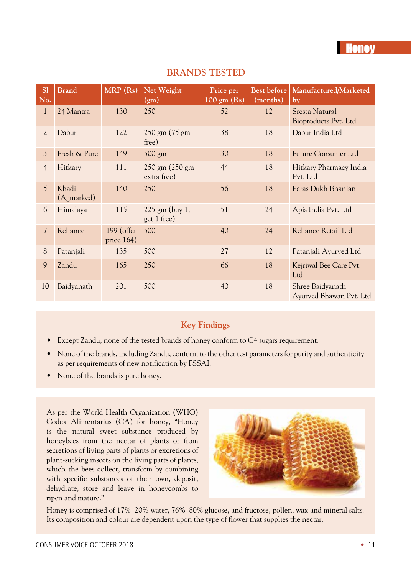| <sub>S1</sub><br>No. | <b>Brand</b>        | MRP (Rs)                    | Net Weight<br>(g <sub>m</sub> ) | Price per<br>$100 \text{ gm}$ (Rs) | Best before<br>(months) | Manufactured/Marketed<br>by                 |
|----------------------|---------------------|-----------------------------|---------------------------------|------------------------------------|-------------------------|---------------------------------------------|
| $\mathbf{1}$         | 24 Mantra           | 130                         | 250                             | 52                                 | 12                      | Sresta Natural<br>Bioproducts Pvt. Ltd      |
| $\mathcal{L}$        | Dabur               | 122                         | $250$ gm $(75)$ gm<br>free)     | 38                                 | 18                      | Dabur India Ltd                             |
| 3                    | Fresh & Pure        | 149                         | 500 gm                          | 30                                 | 18                      | Future Consumer Ltd                         |
| $\overline{4}$       | Hitkary             | 111                         | 250 gm (250 gm<br>extra free)   | 44                                 | 18                      | Hitkary Pharmacy India<br>Pvt. Ltd          |
| 5 <sup>5</sup>       | Khadi<br>(Agmarked) | 140                         | 250                             | 56                                 | 18                      | Paras Dukh Bhanjan                          |
| 6                    | Himalaya            | 115                         | $225$ gm (buy 1,<br>get 1 free) | 51                                 | 24                      | Apis India Pvt. Ltd                         |
| $\overline{7}$       | Reliance            | 199 (offer<br>price $164$ ) | 500                             | 40                                 | 24                      | Reliance Retail Ltd                         |
| 8                    | Patanjali           | 135                         | 500                             | 27                                 | 12                      | Patanjali Ayurved Ltd                       |
| 9                    | Zandu               | 165                         | 250                             | 66                                 | 18                      | Kejriwal Bee Care Pvt.<br>Ltd               |
| 10                   | Baidyanath          | 201                         | 500                             | 40                                 | 18                      | Shree Baidyanath<br>Ayurved Bhawan Pvt. Ltd |

#### **BRANDS TESTED**

### **Key Findings**

- Except Zandu, none of the tested brands of honey conform to C4 sugars requirement.
- None of the brands, including Zandu, conform to the other test parameters for purity and authenticity as per requirements of new notification by FSSAI.
- None of the brands is pure honey.

As per the World Health Organization (WHO) Codex Alimentarius (CA) for honey, "Honey is the natural sweet substance produced by honeybees from the nectar of plants or from secretions of living parts of plants or excretions of plant-sucking insects on the living parts of plants, which the bees collect, transform by combining with specific substances of their own, deposit, dehydrate, store and leave in honeycombs to ripen and mature."



Honey is comprised of 17%–20% water, 76%–80% glucose, and fructose, pollen, wax and mineral salts. Its composition and colour are dependent upon the type of flower that supplies the nectar.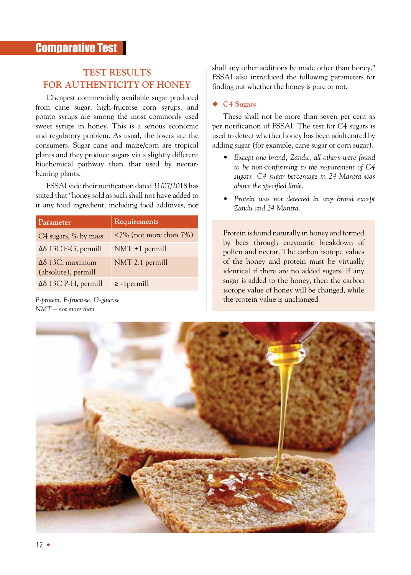# **TEST RESULTS FOR AUTHENTICITY OF HONEY**

Cheapest commercially available sugar produced from cane sugar, high-fructose corn syrups, and potato syrups are among the most commonly used sweet syrups in honey. This is a serious economic and regulatory problem. As usual, the losers are the consumers. Sugar cane and maize/corn are tropical plants and they produce sugars via a slightly different biochemical pathway than that used by nectarbearing plants.

FSSAI vide their notification dated 31/07/2018 has stated that "honey sold as such shall not have added to it any food ingredient, including food additives, nor

| Parameter                                          | Requirements                         |
|----------------------------------------------------|--------------------------------------|
| C4 sugars, % by mass                               | $\langle 7\%$ (not more than $7\%$ ) |
| $\Delta\delta$ 13C F-G, permill                    | $NMT \pm 1$ permill                  |
| $\Delta\delta$ 13C, maximum<br>(absolute), permill | NMT 2.1 permill                      |
| $\Delta\delta$ 13C P-H, permill                    | $\ge$ -1 permill                     |

*P-protein, F-fructose, G-glucose NMT – not more than*

shall any other additions be made other than honey." FSSAI also introduced the following parameters for finding out whether the honey is pure or not.

#### **C4 Sugars**

These shall not be more than seven per cent as per notification of FSSAI. The test for C4 sugars is used to detect whether honey has been adulterated by adding sugar (for example, cane sugar or corn sugar).

- *• Except one brand, Zandu, all others were found to be non-conforming to the requirement of C4 sugars. C4 sugar percentage in 24 Mantra was above the specified limit.*
- *• Protein was not detected in any brand except Zandu and 24 Mantra.*

Protein is found naturally in honey and formed by bees through enzymatic breakdown of pollen and nectar. The carbon isotope values of the honey and protein must be virtually identical if there are no added sugars. If any sugar is added to the honey, then the carbon isotope value of honey will be changed, while the protein value is unchanged.

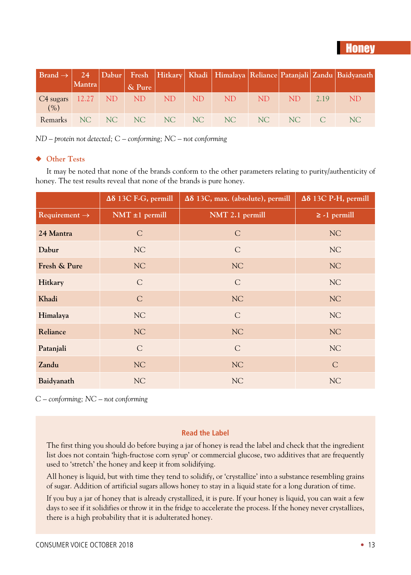# **Honey**

|                                     |        |                        |  |                                                                                                                 |     |             | $ {\rm Brand}\rightarrow 24 $ Dabur Fresh Hitkary Khadi Himalaya Reliance Patanjali Zandu Baidyanath |
|-------------------------------------|--------|------------------------|--|-----------------------------------------------------------------------------------------------------------------|-----|-------------|------------------------------------------------------------------------------------------------------|
|                                     | Mantra | $\vert$ & Pure $\vert$ |  |                                                                                                                 |     |             |                                                                                                      |
| C4 sugars 12.27 ND ND ND ND<br>(% ) |        |                        |  | ND <sub>1</sub>                                                                                                 | ND. | $ND = 2.19$ | ND.                                                                                                  |
| <b>Remarks</b>                      |        |                        |  | $N_{\rm C}$ $N_{\rm C}$ $N_{\rm C}$ $N_{\rm C}$ $N_{\rm C}$ $N_{\rm C}$ $N_{\rm C}$ $N_{\rm C}$ $N_{\rm C}$ $C$ |     |             | NC.                                                                                                  |

*ND – protein not detected; C – conforming; NC – not conforming*

#### **Other Tests**

It may be noted that none of the brands conform to the other parameters relating to purity/authenticity of honey. The test results reveal that none of the brands is pure honey.

|                           | $\Delta\delta$ 13C F-G, permill | $\Delta\delta$ 13C, max. (absolute), permill | $\Delta\delta$ 13C P-H, permill |
|---------------------------|---------------------------------|----------------------------------------------|---------------------------------|
| Requirement $\rightarrow$ | $NMT \pm 1$ permill             | NMT 2.1 permill                              | $\ge$ -1 permill                |
| 24 Mantra                 | $\mathcal{C}$                   | $\mathcal{C}$                                | NC                              |
| Dabur                     | NC                              | $\mathcal{C}$                                | NC                              |
| Fresh & Pure              | NC                              | NC                                           | NC                              |
| Hitkary                   | $\mathcal{C}$                   | $\mathcal{C}$                                | NC                              |
| Khadi                     | $\mathcal{C}$                   | NC                                           | NC                              |
| Himalaya                  | NC                              | $\mathcal{C}$                                | NC                              |
| Reliance                  | NC                              | NC                                           | NC                              |
| Patanjali                 | $\mathcal{C}$                   | $\mathcal{C}$                                | NC                              |
| Zandu                     | NC                              | NC                                           | $\mathcal{C}$                   |
| Baidyanath                | NC                              | NC                                           | NC                              |

*C – conforming; NC – not conforming*

#### **Read the Label**

The first thing you should do before buying a jar of honey is read the label and check that the ingredient list does not contain 'high-fructose corn syrup' or commercial glucose, two additives that are frequently used to 'stretch' the honey and keep it from solidifying.

All honey is liquid, but with time they tend to solidify, or 'crystallize' into a substance resembling grains of sugar. Addition of artificial sugars allows honey to stay in a liquid state for a long duration of time.

If you buy a jar of honey that is already crystallized, it is pure. If your honey is liquid, you can wait a few days to see if it solidifies or throw it in the fridge to accelerate the process. If the honey never crystallizes, there is a high probability that it is adulterated honey.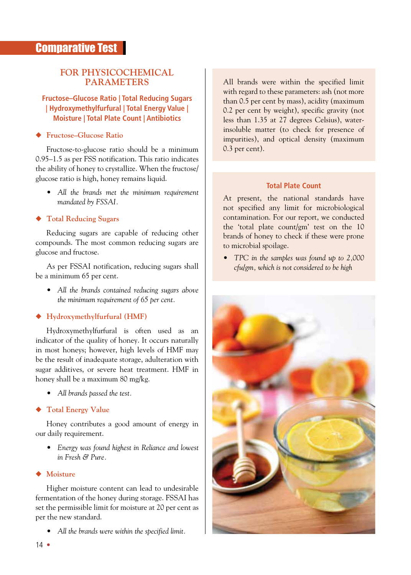#### **FOR PHYSICOCHEMICAL PARAMETERS**

#### **Fructose–Glucose Ratio | Total Reducing Sugars | Hydroxymethylfurfural | Total Energy Value | Moisture | Total Plate Count | Antibiotics**

#### **Fructose–Glucose Ratio**

Fructose-to-glucose ratio should be a minimum 0.95–1.5 as per FSS notification. This ratio indicates the ability of honey to crystallize. When the fructose/ glucose ratio is high, honey remains liquid.

*• All the brands met the minimum requirement mandated by FSSAI.*

#### **Total Reducing Sugars**

Reducing sugars are capable of reducing other compounds. The most common reducing sugars are glucose and fructose.

As per FSSAI notification, reducing sugars shall be a minimum 65 per cent.

*• All the brands contained reducing sugars above the minimum requirement of 65 per cent.*

#### **Hydroxymethylfurfural (HMF)**

Hydroxymethylfurfural is often used as an indicator of the quality of honey. It occurs naturally in most honeys; however, high levels of HMF may be the result of inadequate storage, adulteration with sugar additives, or severe heat treatment. HMF in honey shall be a maximum 80 mg/kg.

*• All brands passed the test.*

#### **Total Energy Value**

Honey contributes a good amount of energy in our daily requirement.

*• Energy was found highest in Reliance and lowest in Fresh & Pure.*

#### **Moisture**

Higher moisture content can lead to undesirable fermentation of the honey during storage. FSSAI has set the permissible limit for moisture at 20 per cent as per the new standard.

*• All the brands were within the specified limit.*

All brands were within the specified limit with regard to these parameters: ash (not more than 0.5 per cent by mass), acidity (maximum 0.2 per cent by weight), specific gravity (not less than 1.35 at 27 degrees Celsius), waterinsoluble matter (to check for presence of impurities), and optical density (maximum 0.3 per cent).

#### **Total Plate Count**

At present, the national standards have not specified any limit for microbiological contamination. For our report, we conducted the 'total plate count/gm' test on the 10 brands of honey to check if these were prone to microbial spoilage.

*• TPC in the samples was found up to 2,000 cfu/gm, which is not considered to be high*

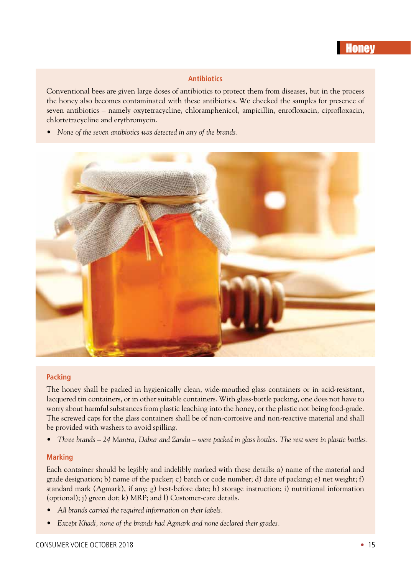#### **Antibiotics**

Conventional bees are given large doses of antibiotics to protect them from diseases, but in the process the honey also becomes contaminated with these antibiotics. We checked the samples for presence of seven antibiotics – namely oxytetracycline, chloramphenicol, ampicillin, enrofloxacin, ciprofloxacin, chlortetracycline and erythromycin.

*• None of the seven antibiotics was detected in any of the brands.*



#### **Packing**

The honey shall be packed in hygienically clean, wide-mouthed glass containers or in acid-resistant, lacquered tin containers, or in other suitable containers. With glass-bottle packing, one does not have to worry about harmful substances from plastic leaching into the honey, or the plastic not being food-grade. The screwed caps for the glass containers shall be of non-corrosive and non-reactive material and shall be provided with washers to avoid spilling.

• Three brands – 24 Mantra, Dabur and Zandu – were packed in glass bottles. The rest were in plastic bottles.

#### **Marking**

Each container should be legibly and indelibly marked with these details: a) name of the material and grade designation; b) name of the packer; c) batch or code number; d) date of packing; e) net weight; f) standard mark (Agmark), if any; g) best-before date; h) storage instruction; i) nutritional information (optional); j) green dot; k) MRP; and l) Customer-care details.

- *• All brands carried the required information on their labels.*
- *• Except Khadi, none of the brands had Agmark and none declared their grades.*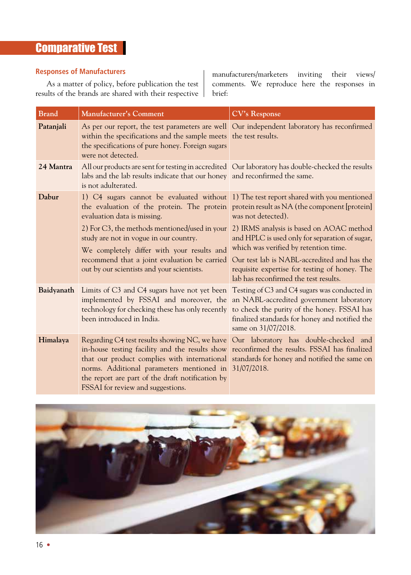# **Comparative Test**

#### **Responses of Manufacturers**

As a matter of policy, before publication the test results of the brands are shared with their respective

manufacturers/marketers inviting their views/ comments. We reproduce here the responses in brief:

| <b>Brand</b> | <b>Manufacturer's Comment</b>                                                                                                                                                                                                                                                                                                                                                                                                     | <b>CV's Response</b>                                                                                                                                                                                                             |  |  |
|--------------|-----------------------------------------------------------------------------------------------------------------------------------------------------------------------------------------------------------------------------------------------------------------------------------------------------------------------------------------------------------------------------------------------------------------------------------|----------------------------------------------------------------------------------------------------------------------------------------------------------------------------------------------------------------------------------|--|--|
| Patanjali    | As per our report, the test parameters are well Our independent laboratory has reconfirmed<br>within the specifications and the sample meets the test results.<br>the specifications of pure honey. Foreign sugars<br>were not detected.                                                                                                                                                                                          |                                                                                                                                                                                                                                  |  |  |
| 24 Mantra    | All our products are sent for testing in accredited Our laboratory has double-checked the results<br>labs and the lab results indicate that our honey and reconfirmed the same.<br>is not adulterated.                                                                                                                                                                                                                            |                                                                                                                                                                                                                                  |  |  |
| Dabur        | 1) C4 sugars cannot be evaluated without 1) The test report shared with you mentioned<br>the evaluation of the protein. The protein protein result as NA (the component [protein]<br>evaluation data is missing.                                                                                                                                                                                                                  | was not detected).                                                                                                                                                                                                               |  |  |
|              | 2) For C3, the methods mentioned/used in your 2) IRMS analysis is based on AOAC method<br>study are not in vogue in our country.<br>We completely differ with your results and<br>recommend that a joint evaluation be carried<br>out by our scientists and your scientists.                                                                                                                                                      | and HPLC is used only for separation of sugar,<br>which was verified by retention time.<br>Our test lab is NABL-accredited and has the<br>requisite expertise for testing of honey. The<br>lab has reconfirmed the test results. |  |  |
| Baidyanath   | Limits of C3 and C4 sugars have not yet been Testing of C3 and C4 sugars was conducted in<br>implemented by FSSAI and moreover, the an NABL-accredited government laboratory<br>technology for checking these has only recently to check the purity of the honey. FSSAI has<br>been introduced in India.                                                                                                                          | finalized standards for honey and notified the<br>same on 31/07/2018.                                                                                                                                                            |  |  |
| Himalaya     | Regarding C4 test results showing NC, we have Our laboratory has double-checked and<br>in-house testing facility and the results show reconfirmed the results. FSSAI has finalized<br>that our product complies with international standards for honey and notified the same on<br>norms. Additional parameters mentioned in 31/07/2018.<br>the report are part of the draft notification by<br>FSSAI for review and suggestions. |                                                                                                                                                                                                                                  |  |  |

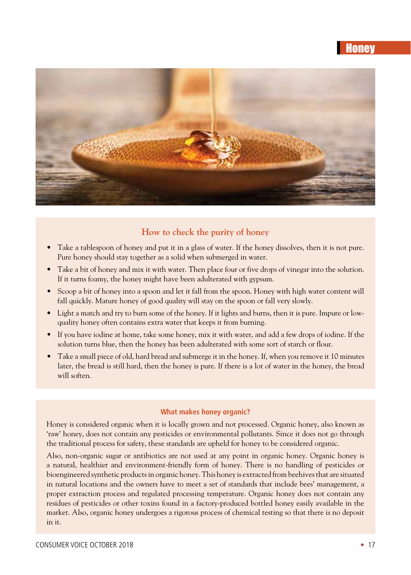# **Honey**



## **How to check the purity of honey**

- Take a tablespoon of honey and put it in a glass of water. If the honey dissolves, then it is not pure. Pure honey should stay together as a solid when submerged in water.
- Take a bit of honey and mix it with water. Then place four or five drops of vinegar into the solution. If it turns foamy, the honey might have been adulterated with gypsum.
- Scoop a bit of honey into a spoon and let it fall from the spoon. Honey with high water content will fall quickly. Mature honey of good quality will stay on the spoon or fall very slowly.
- • Light a match and try to burn some of the honey. If it lights and burns, then it is pure. Impure or lowquality honey often contains extra water that keeps it from burning.
- • If you have iodine at home, take some honey, mix it with water, and add a few drops of iodine. If the solution turns blue, then the honey has been adulterated with some sort of starch or flour.
- • Take a small piece of old, hard bread and submerge it in the honey. If, when you remove it 10 minutes later, the bread is still hard, then the honey is pure. If there is a lot of water in the honey, the bread will soften.

#### **What makes honey organic?**

Honey is considered organic when it is locally grown and not processed. Organic honey, also known as 'raw' honey, does not contain any pesticides or environmental pollutants. Since it does not go through the traditional process for safety, these standards are upheld for honey to be considered organic.

Also, non-organic sugar or antibiotics are not used at any point in organic honey. Organic honey is a natural, healthier and environment-friendly form of honey. There is no handling of pesticides or bioengineered synthetic products in organic honey. This honey is extracted from beehives that are situated in natural locations and the owners have to meet a set of standards that include bees' management, a proper extraction process and regulated processing temperature. Organic honey does not contain any residues of pesticides or other toxins found in a factory-produced bottled honey easily available in the market. Also, organic honey undergoes a rigorous process of chemical testing so that there is no deposit in it.